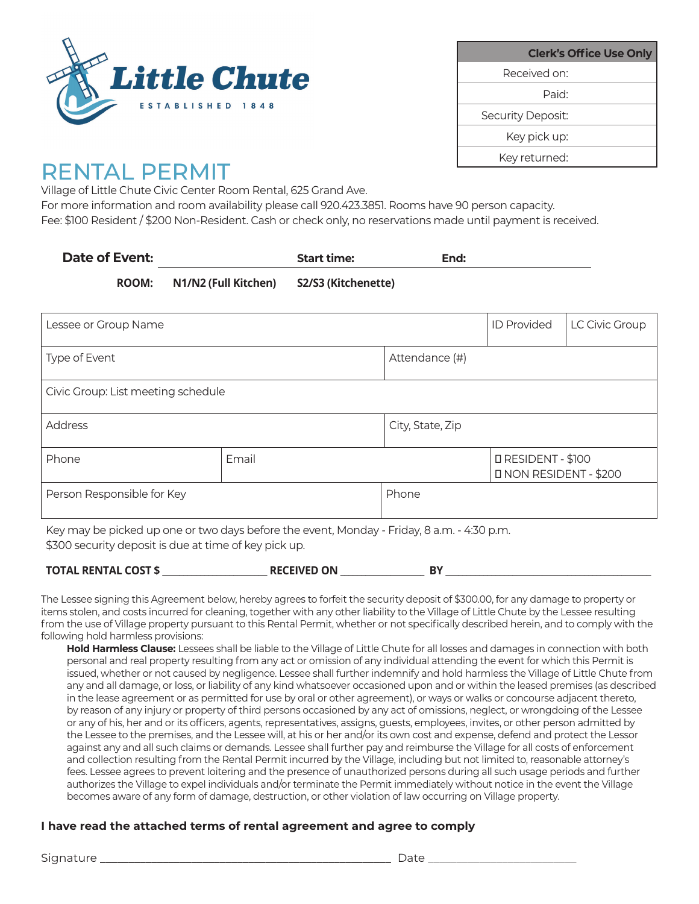

| <b>Clerk's Office Use Only</b> |                   |
|--------------------------------|-------------------|
|                                | Received on:      |
|                                | Paid <sup>.</sup> |
|                                | Security Deposit: |
|                                | Key pick up:      |
|                                | Key returned:     |
|                                |                   |

## RENTAL PERMIT

Village of Little Chute Civic Center Room Rental, 625 Grand Ave.

For more information and room availability please call 920.423.3851. Rooms have 90 person capacity. Fee: \$100 Resident / \$200 Non-Resident. Cash or check only, no reservations made until payment is received.

| Date of Event: |                                          | <b>Start time:</b> | End: |  |
|----------------|------------------------------------------|--------------------|------|--|
| <b>ROOM:</b>   | N1/N2 (Full Kitchen) S2/S3 (Kitchenette) |                    |      |  |

| Lessee or Group Name                                                                       |       |                  | <b>ID Provided</b>                       | LC Civic Group |  |
|--------------------------------------------------------------------------------------------|-------|------------------|------------------------------------------|----------------|--|
| Type of Event<br>Attendance (#)                                                            |       |                  |                                          |                |  |
| Civic Group: List meeting schedule                                                         |       |                  |                                          |                |  |
| <b>Address</b>                                                                             |       | City, State, Zip |                                          |                |  |
| Phone                                                                                      | Email |                  | RESIDENT - \$100<br>NON RESIDENT - \$200 |                |  |
| Person Responsible for Key                                                                 |       | Phone            |                                          |                |  |
| Key may be picked up one or two days before the event, Monday - Friday, 8 a.m. - 4:30 p.m. |       |                  |                                          |                |  |

\$300 security deposit is due at time of key pick up.

| <b>TOTAL RENTAL COST \$</b> | <b>RECEIVED ON</b> | B١ |  |
|-----------------------------|--------------------|----|--|
|-----------------------------|--------------------|----|--|

The Lessee signing this Agreement below, hereby agrees to forfeit the security deposit of \$300.00, for any damage to property or items stolen, and costs incurred for cleaning, together with any other liability to the Village of Little Chute by the Lessee resulting from the use of Village property pursuant to this Rental Permit, whether or not specifically described herein, and to comply with the following hold harmless provisions:

**Hold Harmless Clause:** Lessees shall be liable to the Village of Little Chute for all losses and damages in connection with both personal and real property resulting from any act or omission of any individual attending the event for which this Permit is issued, whether or not caused by negligence. Lessee shall further indemnify and hold harmless the Village of Little Chute from any and all damage, or loss, or liability of any kind whatsoever occasioned upon and or within the leased premises (as described in the lease agreement or as permitted for use by oral or other agreement), or ways or walks or concourse adjacent thereto, by reason of any injury or property of third persons occasioned by any act of omissions, neglect, or wrongdoing of the Lessee or any of his, her and or its officers, agents, representatives, assigns, guests, employees, invites, or other person admitted by the Lessee to the premises, and the Lessee will, at his or her and/or its own cost and expense, defend and protect the Lessor against any and all such claims or demands. Lessee shall further pay and reimburse the Village for all costs of enforcement and collection resulting from the Rental Permit incurred by the Village, including but not limited to, reasonable attorney's fees. Lessee agrees to prevent loitering and the presence of unauthorized persons during all such usage periods and further authorizes the Village to expel individuals and/or terminate the Permit immediately without notice in the event the Village becomes aware of any form of damage, destruction, or other violation of law occurring on Village property.

## **I have read the attached terms of rental agreement and agree to comply**

Signature **\_\_\_\_\_\_\_\_\_\_\_\_\_\_\_\_\_\_\_\_\_\_\_\_\_\_\_\_\_\_\_\_\_\_\_\_\_\_\_\_\_\_\_\_\_\_\_\_\_\_\_** Date \_\_\_\_\_\_\_\_\_\_\_\_\_\_\_\_\_\_\_\_\_\_\_\_\_\_